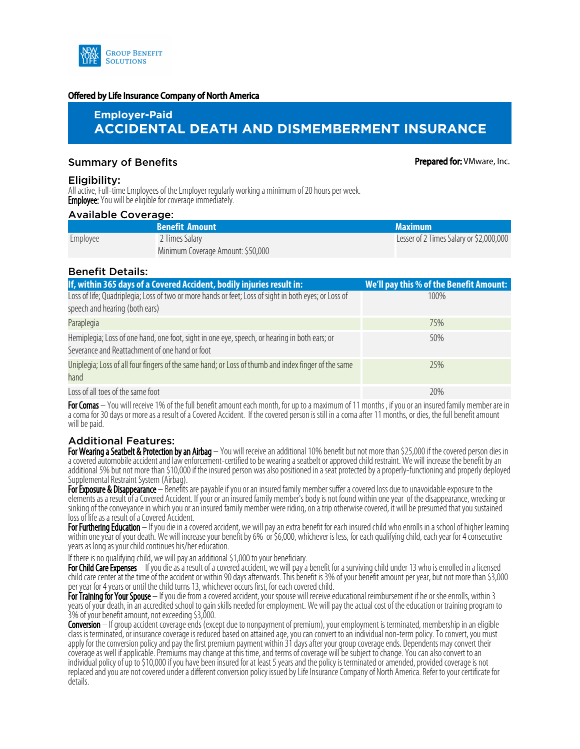

#### Offered by Life Insurance Company of North America

# **Employer-Paid ACCIDENTAL DEATH AND DISMEMBERMENT INSURANCE**

## **Summary of Benefits According the Summary of Benefits According to Prepared for: VMware, Inc.**

## Eligibility:

All active, Full-time Employees of the Employer regularly working a minimum of 20 hours per week. **Employee:** You will be eligible for coverage immediately.

#### Available Coverage:

|          | <b>Benefit Amount</b>             | <b>Maximum</b>                          |
|----------|-----------------------------------|-----------------------------------------|
| Employee | 2 Times Salary                    | Lesser of 2 Times Salary or \$2,000,000 |
|          | Minimum Coverage Amount: \$50,000 |                                         |

## Benefit Details:

| If, within 365 days of a Covered Accident, bodily injuries result in:                                                                           | We'll pay this % of the Benefit Amount: |
|-------------------------------------------------------------------------------------------------------------------------------------------------|-----------------------------------------|
| Loss of life; Quadriplegia; Loss of two or more hands or feet; Loss of sight in both eyes; or Loss of<br>speech and hearing (both ears)         | 100%                                    |
| Paraplegia                                                                                                                                      | 75%                                     |
| Hemiplegia; Loss of one hand, one foot, sight in one eye, speech, or hearing in both ears; or<br>Severance and Reattachment of one hand or foot | 50%                                     |
| Uniplegia; Loss of all four fingers of the same hand; or Loss of thumb and index finger of the same<br>hand.                                    | 25%                                     |
| Loss of all toes of the same foot                                                                                                               | 20%                                     |

For Comas – You will receive 1% of the full benefit amount each month, for up to a maximum of 11 months, if you or an insured family member are in a coma for 30 days or more as a result of a Covered Accident. If the covered person is still in a coma after 11 months, or dies, the full benefit amount will be paid.

## Additional Features:

For Wearing a Seatbelt & Protection by an Airbag – You will receive an additional 10% benefit but not more than \$25,000 if the covered person dies in a covered automobile accident and law enforcement-certified to be wearing a seatbelt or approved child restraint. We will increase the benefit by an additional 5% but not more than \$10,000 if the insured person was also positioned in a seat protected by a properly-functioning and properly deployed Supplemental Restraint System (Airbag).

For Exposure & Disappearance – Benefits are payable if you or an insured family member suffer a covered loss due to unavoidable exposure to the elements as a result of a Covered Accident. If your or an insured family member's body is not found within one year of the disappearance, wrecking or sinking of the conveyance in which you or an insured family member were riding, on a trip otherwise covered, it will be presumed that you sustained loss of life as a result of a Covered Accident.

For Furthering Education – If you die in a covered accident, we will pay an extra benefit for each insured child who enrolls in a school of higher learning within one year of your death. We will increase your benefit by 6% or \$6,000, whichever is less, for each qualifying child, each year for 4 consecutive years as long as your child continues his/her education.

If there is no qualifying child, we will pay an additional \$1,000 to your beneficiary.

For Child Care Expenses – If you die as a result of a covered accident, we will pay a benefit for a surviving child under 13 who is enrolled in a licensed child care center at the time of the accident or within 90 days afterwards. This benefit is 3% of your benefit amount per year, but not more than \$3,000 per year for 4 years or until the child turns 13, whichever occurs first, for each covered child.

For Training for Your Spouse – If you die from a covered accident, your spouse will receive educational reimbursement if he or she enrolls, within 3 years of your death, in an accredited school to gain skills needed for employment. We will pay the actual cost of the education or training program to 3% of your benefit amount, not exceeding \$3,000.

Conversion – If group accident coverage ends (except due to nonpayment of premium), your employment is terminated, membership in an eligible class is terminated, or insurance coverage is reduced based on attained age, you can convert to an individual non-term policy. To convert, you must apply for the conversion policy and pay the first premium payment within 31 days after your group coverage ends. Dependents may convert their coverage as well if applicable. Premiums may change at this time, and terms of coverage will be subject to change. You can also convert to an individual policy of up to \$10,000 if you have been insured for at least 5 years and the policy is terminated or amended, provided coverage is not replaced and you are not covered under a different conversion policy issued by Life Insurance Company of North America. Refer to your certificate for details.